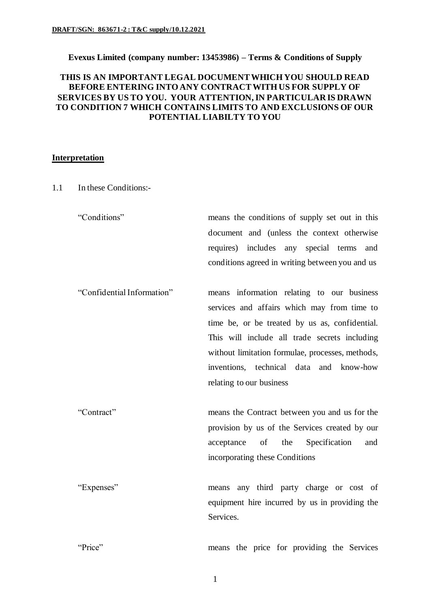### **Evexus Limited (company number: 13453986) – Terms & Conditions of Supply**

# **THIS IS AN IMPORTANT LEGAL DOCUMENT WHICH YOU SHOULD READ BEFORE ENTERING INTO ANY CONTRACT WITH US FOR SUPPLY OF SERVICES BY US TO YOU. YOUR ATTENTION, IN PARTICULAR IS DRAWN TO CONDITION 7 WHICH CONTAINS LIMITS TO AND EXCLUSIONS OF OUR POTENTIAL LIABILTY TO YOU**

### **Interpretation**

1.1 In these Conditions:-

"Conditions" means the conditions of supply set out in this document and (unless the context otherwise requires) includes any special terms and conditions agreed in writing between you and us

"Confidential Information" means information relating to our business services and affairs which may from time to time be, or be treated by us as, confidential. This will include all trade secrets including without limitation formulae, processes, methods, inventions, technical data and know-how relating to our business

"Contract" means the Contract between you and us for the provision by us of the Services created by our acceptance of the Specification and incorporating these Conditions

"Expenses" means any third party charge or cost of equipment hire incurred by us in providing the Services.

"Price" means the price for providing the Services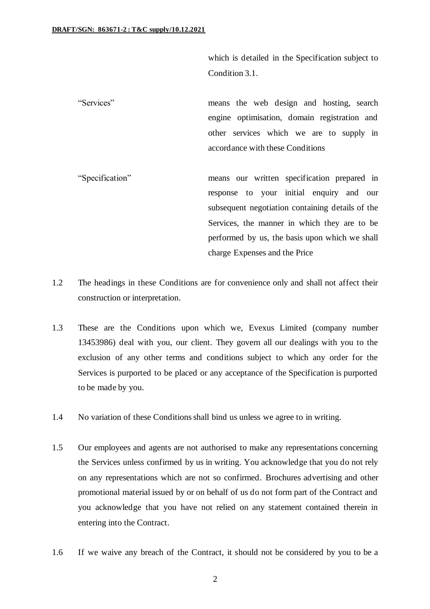which is detailed in the Specification subject to Condition 3.1.

- "Services" means the web design and hosting, search engine optimisation, domain registration and other services which we are to supply in accordance with these Conditions
- "Specification" means our written specification prepared in response to your initial enquiry and our subsequent negotiation containing details of the Services, the manner in which they are to be performed by us, the basis upon which we shall charge Expenses and the Price
- 1.2 The headings in these Conditions are for convenience only and shall not affect their construction or interpretation.
- 1.3 These are the Conditions upon which we, Evexus Limited (company number 13453986) deal with you, our client. They govern all our dealings with you to the exclusion of any other terms and conditions subject to which any order for the Services is purported to be placed or any acceptance of the Specification is purported to be made by you.
- 1.4 No variation of these Conditions shall bind us unless we agree to in writing.
- 1.5 Our employees and agents are not authorised to make any representations concerning the Services unless confirmed by us in writing. You acknowledge that you do not rely on any representations which are not so confirmed. Brochures advertising and other promotional material issued by or on behalf of us do not form part of the Contract and you acknowledge that you have not relied on any statement contained therein in entering into the Contract.
- 1.6 If we waive any breach of the Contract, it should not be considered by you to be a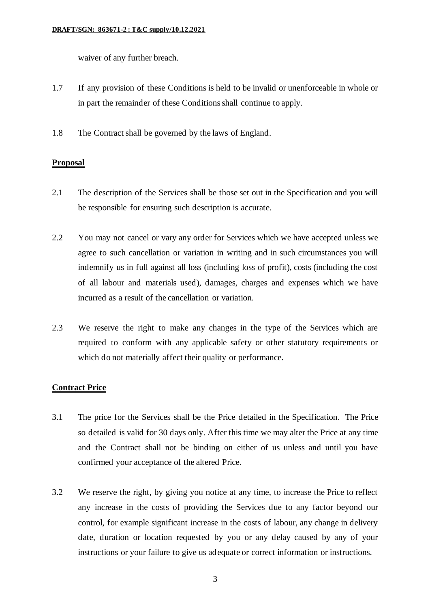waiver of any further breach.

- 1.7 If any provision of these Conditions is held to be invalid or unenforceable in whole or in part the remainder of these Conditions shall continue to apply.
- 1.8 The Contract shall be governed by the laws of England.

# **Proposal**

- 2.1 The description of the Services shall be those set out in the Specification and you will be responsible for ensuring such description is accurate.
- 2.2 You may not cancel or vary any order for Services which we have accepted unless we agree to such cancellation or variation in writing and in such circumstances you will indemnify us in full against all loss (including loss of profit), costs (including the cost of all labour and materials used), damages, charges and expenses which we have incurred as a result of the cancellation or variation.
- 2.3 We reserve the right to make any changes in the type of the Services which are required to conform with any applicable safety or other statutory requirements or which do not materially affect their quality or performance.

# **Contract Price**

- 3.1 The price for the Services shall be the Price detailed in the Specification. The Price so detailed is valid for 30 days only. After this time we may alter the Price at any time and the Contract shall not be binding on either of us unless and until you have confirmed your acceptance of the altered Price.
- 3.2 We reserve the right, by giving you notice at any time, to increase the Price to reflect any increase in the costs of providing the Services due to any factor beyond our control, for example significant increase in the costs of labour, any change in delivery date, duration or location requested by you or any delay caused by any of your instructions or your failure to give us adequate or correct information or instructions.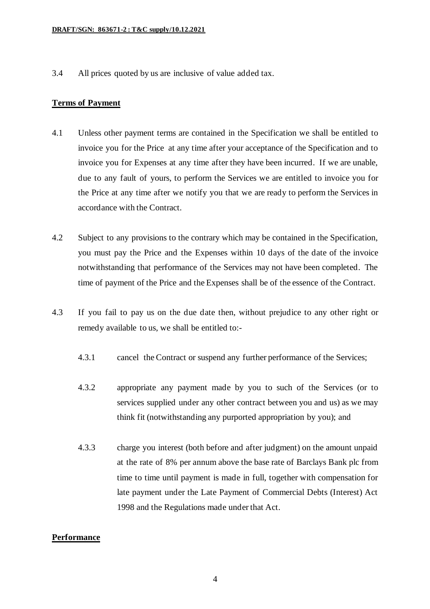3.4 All prices quoted by us are inclusive of value added tax.

### **Terms of Payment**

- 4.1 Unless other payment terms are contained in the Specification we shall be entitled to invoice you for the Price at any time after your acceptance of the Specification and to invoice you for Expenses at any time after they have been incurred. If we are unable, due to any fault of yours, to perform the Services we are entitled to invoice you for the Price at any time after we notify you that we are ready to perform the Services in accordance with the Contract.
- 4.2 Subject to any provisions to the contrary which may be contained in the Specification, you must pay the Price and the Expenses within 10 days of the date of the invoice notwithstanding that performance of the Services may not have been completed. The time of payment of the Price and the Expenses shall be of the essence of the Contract.
- 4.3 If you fail to pay us on the due date then, without prejudice to any other right or remedy available to us, we shall be entitled to:-
	- 4.3.1 cancel the Contract or suspend any further performance of the Services;
	- 4.3.2 appropriate any payment made by you to such of the Services (or to services supplied under any other contract between you and us) as we may think fit (notwithstanding any purported appropriation by you); and
	- 4.3.3 charge you interest (both before and after judgment) on the amount unpaid at the rate of 8% per annum above the base rate of Barclays Bank plc from time to time until payment is made in full, together with compensation for late payment under the Late Payment of Commercial Debts (Interest) Act 1998 and the Regulations made under that Act.

### **Performance**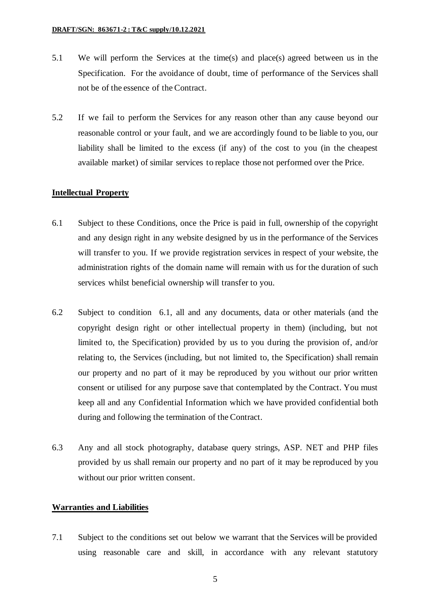- 5.1 We will perform the Services at the time(s) and place(s) agreed between us in the Specification. For the avoidance of doubt, time of performance of the Services shall not be of the essence of the Contract.
- 5.2 If we fail to perform the Services for any reason other than any cause beyond our reasonable control or your fault, and we are accordingly found to be liable to you, our liability shall be limited to the excess (if any) of the cost to you (in the cheapest available market) of similar services to replace those not performed over the Price.

#### **Intellectual Property**

- 6.1 Subject to these Conditions, once the Price is paid in full, ownership of the copyright and any design right in any website designed by us in the performance of the Services will transfer to you. If we provide registration services in respect of your website, the administration rights of the domain name will remain with us for the duration of such services whilst beneficial ownership will transfer to you.
- 6.2 Subject to condition 6.1, all and any documents, data or other materials (and the copyright design right or other intellectual property in them) (including, but not limited to, the Specification) provided by us to you during the provision of, and/or relating to, the Services (including, but not limited to, the Specification) shall remain our property and no part of it may be reproduced by you without our prior written consent or utilised for any purpose save that contemplated by the Contract. You must keep all and any Confidential Information which we have provided confidential both during and following the termination of the Contract.
- 6.3 Any and all stock photography, database query strings, ASP. NET and PHP files provided by us shall remain our property and no part of it may be reproduced by you without our prior written consent.

#### **Warranties and Liabilities**

7.1 Subject to the conditions set out below we warrant that the Services will be provided using reasonable care and skill, in accordance with any relevant statutory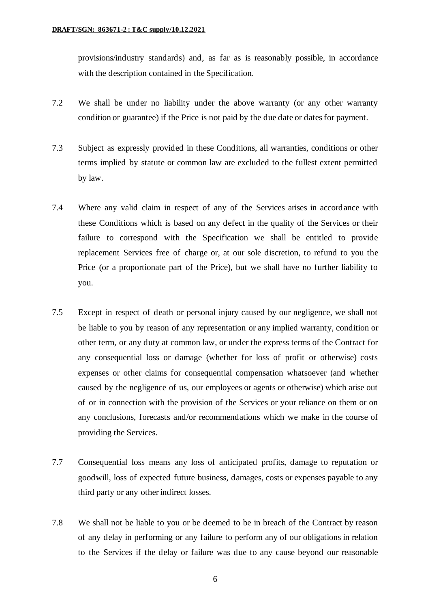provisions/industry standards) and, as far as is reasonably possible, in accordance with the description contained in the Specification.

- 7.2 We shall be under no liability under the above warranty (or any other warranty condition or guarantee) if the Price is not paid by the due date or dates for payment.
- 7.3 Subject as expressly provided in these Conditions, all warranties, conditions or other terms implied by statute or common law are excluded to the fullest extent permitted by law.
- 7.4 Where any valid claim in respect of any of the Services arises in accordance with these Conditions which is based on any defect in the quality of the Services or their failure to correspond with the Specification we shall be entitled to provide replacement Services free of charge or, at our sole discretion, to refund to you the Price (or a proportionate part of the Price), but we shall have no further liability to you.
- 7.5 Except in respect of death or personal injury caused by our negligence, we shall not be liable to you by reason of any representation or any implied warranty, condition or other term, or any duty at common law, or under the express terms of the Contract for any consequential loss or damage (whether for loss of profit or otherwise) costs expenses or other claims for consequential compensation whatsoever (and whether caused by the negligence of us, our employees or agents or otherwise) which arise out of or in connection with the provision of the Services or your reliance on them or on any conclusions, forecasts and/or recommendations which we make in the course of providing the Services.
- 7.7 Consequential loss means any loss of anticipated profits, damage to reputation or goodwill, loss of expected future business, damages, costs or expenses payable to any third party or any other indirect losses.
- 7.8 We shall not be liable to you or be deemed to be in breach of the Contract by reason of any delay in performing or any failure to perform any of our obligations in relation to the Services if the delay or failure was due to any cause beyond our reasonable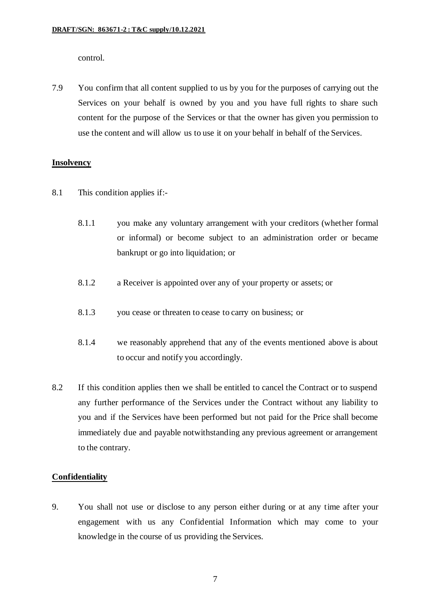control.

7.9 You confirm that all content supplied to us by you for the purposes of carrying out the Services on your behalf is owned by you and you have full rights to share such content for the purpose of the Services or that the owner has given you permission to use the content and will allow us to use it on your behalf in behalf of the Services.

# **Insolvency**

- 8.1 This condition applies if:-
	- 8.1.1 you make any voluntary arrangement with your creditors (whether formal or informal) or become subject to an administration order or became bankrupt or go into liquidation; or
	- 8.1.2 a Receiver is appointed over any of your property or assets; or
	- 8.1.3 you cease or threaten to cease to carry on business; or
	- 8.1.4 we reasonably apprehend that any of the events mentioned above is about to occur and notify you accordingly.
- 8.2 If this condition applies then we shall be entitled to cancel the Contract or to suspend any further performance of the Services under the Contract without any liability to you and if the Services have been performed but not paid for the Price shall become immediately due and payable notwithstanding any previous agreement or arrangement to the contrary.

### **Confidentiality**

9. You shall not use or disclose to any person either during or at any time after your engagement with us any Confidential Information which may come to your knowledge in the course of us providing the Services.